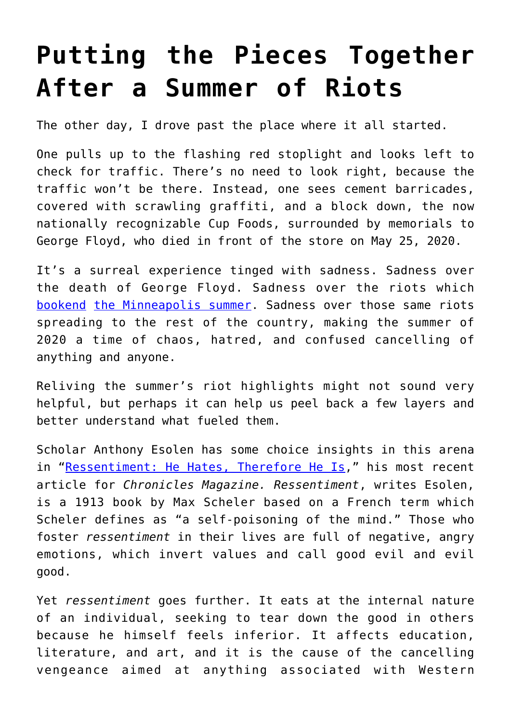## **[Putting the Pieces Together](https://intellectualtakeout.org/2020/09/putting-the-pieces-together-after-a-summer-of-riots/) [After a Summer of Riots](https://intellectualtakeout.org/2020/09/putting-the-pieces-together-after-a-summer-of-riots/)**

The other day, I drove past the place where it all started.

One pulls up to the flashing red stoplight and looks left to check for traffic. There's no need to look right, because the traffic won't be there. Instead, one sees cement barricades, covered with scrawling graffiti, and a block down, the now nationally recognizable Cup Foods, surrounded by memorials to George Floyd, who died in front of the store on May 25, 2020.

It's a surreal experience tinged with sadness. Sadness over the death of George Floyd. Sadness over the riots which [bookend](https://www.intellectualtakeout.org/the-underlying-reason-for-our-present-chaos/) [the Minneapolis summer](https://www.intellectualtakeout.org/coming-full-circle-a-way-out-of-the-riots/). Sadness over those same riots spreading to the rest of the country, making the summer of 2020 a time of chaos, hatred, and confused cancelling of anything and anyone.

Reliving the summer's riot highlights might not sound very helpful, but perhaps it can help us peel back a few layers and better understand what fueled them.

Scholar Anthony Esolen has some choice insights in this arena in ["Ressentiment: He Hates, Therefore He Is](https://www.chroniclesmagazine.org/2020/September/44/9/magazine/article/10887432/)," his most recent article for *Chronicles Magazine. Ressentiment*, writes Esolen, is a 1913 book by Max Scheler based on a French term which Scheler defines as "a self-poisoning of the mind." Those who foster *ressentiment* in their lives are full of negative, angry emotions, which invert values and call good evil and evil good.

Yet *ressentiment* goes further. It eats at the internal nature of an individual, seeking to tear down the good in others because he himself feels inferior. It affects education, literature, and art, and it is the cause of the cancelling vengeance aimed at anything associated with Western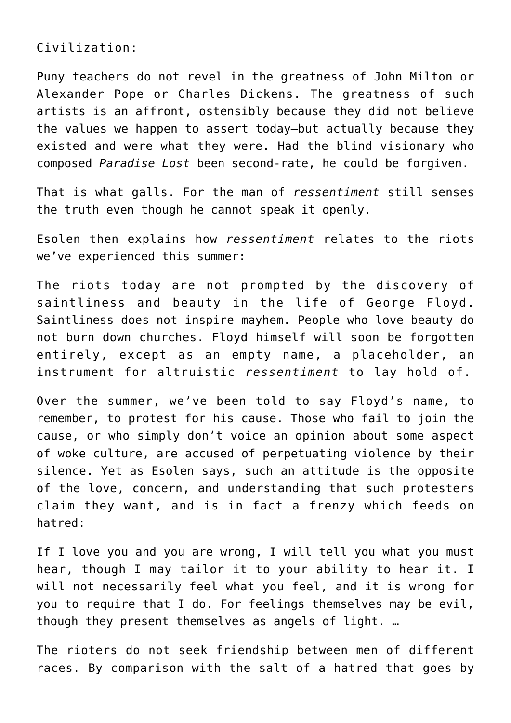Civilization:

Puny teachers do not revel in the greatness of John Milton or Alexander Pope or Charles Dickens. The greatness of such artists is an affront, ostensibly because they did not believe the values we happen to assert today—but actually because they existed and were what they were. Had the blind visionary who composed *Paradise Lost* been second-rate, he could be forgiven.

That is what galls. For the man of *ressentiment* still senses the truth even though he cannot speak it openly.

Esolen then explains how *ressentiment* relates to the riots we've experienced this summer:

The riots today are not prompted by the discovery of saintliness and beauty in the life of George Floyd. Saintliness does not inspire mayhem. People who love beauty do not burn down churches. Floyd himself will soon be forgotten entirely, except as an empty name, a placeholder, an instrument for altruistic *ressentiment* to lay hold of.

Over the summer, we've been told to say Floyd's name, to remember, to protest for his cause. Those who fail to join the cause, or who simply don't voice an opinion about some aspect of woke culture, are accused of perpetuating violence by their silence. Yet as Esolen says, such an attitude is the opposite of the love, concern, and understanding that such protesters claim they want, and is in fact a frenzy which feeds on hatred:

If I love you and you are wrong, I will tell you what you must hear, though I may tailor it to your ability to hear it. I will not necessarily feel what you feel, and it is wrong for you to require that I do. For feelings themselves may be evil, though they present themselves as angels of light. …

The rioters do not seek friendship between men of different races. By comparison with the salt of a hatred that goes by